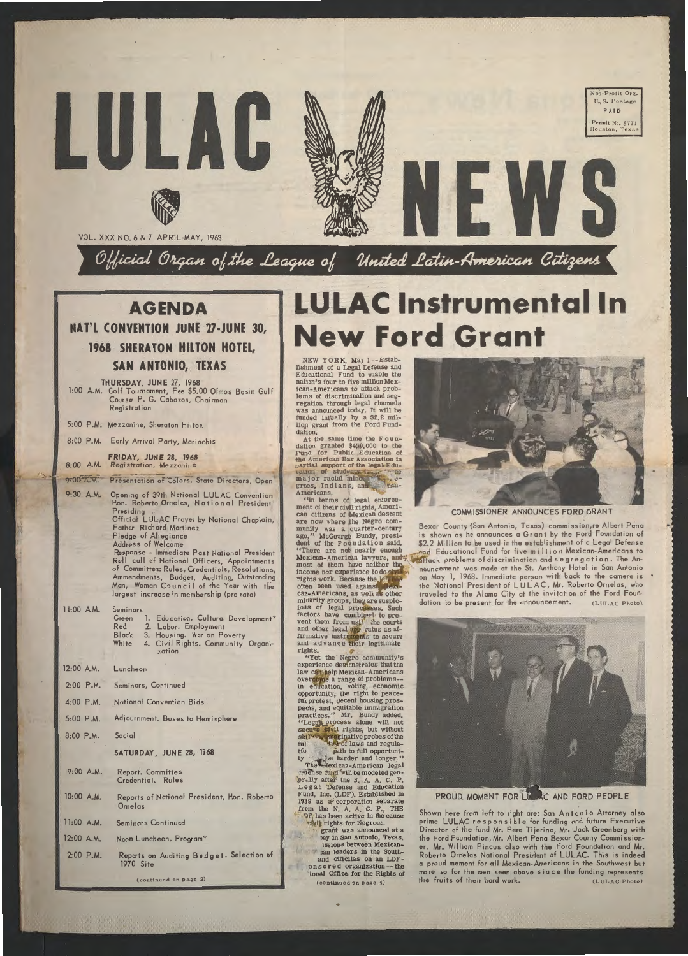# **AGENDA NAT'L CONVENTION JUNE 27-JUNE 30, 1968 SHERATON HILTON HOTEL, SAN ANTONIO, TEXAS**

#### **THURSDAY, JUNE** 27, 1968

- 1:00 A.M. Golf Tournament, Fee \$5.00 Ofmos Basin Gulf Course P. G. Cabazos, Chairman **Registration**
- 5:00 P.M. Mezzanine, Sheraton Hilton
- 8:00 P.M. Early Arrival Party, Mariachis

|  | $11:00$ AM. | Seminars |
|--|-------------|----------|
|  |             |          |

**FRIDAY, JUNE 28, 1968**  8:00 A.M. Registration, Mezzanine

#### 9:00 A.M. Presentation of Colors. State Directors, Open

9:30 A.M. Opening of 39th National LULAC Conventio Hon. Roberto Ornelas, National Presider Presiding Official LULAC Prayer by National Chaplain, Father Richard Martinez Pledge of Allegiance

Address of Welcome

Response - Immediate Past National President Roll call of National Officers, Appointments of Committes: Rules, Credentials, Resolutions, Ammendments, Budget, Auditing, Outstanding Man, Woman Council of the Year with the largest increase in membership (pro rota)

#### 8:00 P.M. Social

- 9:00 A.M. Report. Committes Credential. Rules
- 10:00 A.M. Reports of National President, Hon. Roberto **Orne I as**
- **11:00 A.M.**  Seminars Continued
- **12:00 A.M.**  Noon Luncheon. Program\*
- **2:00 P.M.**  Reports on Auditing Bu.dget. Selection of 1970 Site

At the same time the Foundation granted \$450,000 to the Fund for Public Education of the American Bar Association in partial support of the legal Edu cation of stude is lines. three major racial min groes, Indians, and tean-Americans.

- Green l. Education. Cultural Development\*
- Red 2. Labor. Employment
- Black 3. Housing. War on Poverty<br>White 4. Civil Rights. Community
- Civil Rights. Community Organization
- 12:00 AM. Luncheon
- 2:00 P.M. Seminars, Continued
- 4:00 P.M. National Convention Bids
- $5:00$  P.M. Adjournment. Buses to Hemisphere

#### **SATURDAY, JUNE 28, 1968**

(continued on page 2)

#### PROUD. MOMENT FOR LE AC AND FORD PEOPLE



VOL. XXX NO. 6 & 7 APRIL-MAY, 1968<br>Official Organ of the League of United Latin-American Citizens

# **LULAC Instrumental In New Ford Grant**

NEW YORK, May !--Establishment of a Legal Defense and Educational Fund to enable the nation's four to five million **Mex**ican-Americans to attack problems of discrimination and segregation through legal channels was announced today. It will **be**  funded initially by a \$2.2 million grant from the Ford Funddation.

"Yet the Negro community" experience demonstrates that the law can help Mexican-Americans over **point** a range of problems in education, voting, economic opportunity, the right to peaceful protest, decent housing prospects, and equitable immigration practices," Mr. Bundy added. "Legat process alone will not vil rights, but without inative probes of the time of laws and regula tfo. path to full opportunity barder and longer." The Mexican-American legal \*\* fense fund will be modeled genprally after the N. A. A. C. P. Legal Defense and Education .Fund, Inc. (LDF). Established in 1939 as  $\vec{a}$  corporation separate from the N. A. A. C. P., THE  $\nabla F_i$  has been active in the cause ~tva rights for Negroes. grant was announced at a 1ny in San Antonio, Texas. 1ssions between Mexican an leaders in the Southand officilas on an LDFon sored organization -- the ional Office. for the Rights of (continued on page 4)



**COMMISSIONER ANNOUNCES FORD GRANT** 

Bexor County (San Antonio, Texas) commission,re Albert Peno is shown as he announces a Grant by the ford Foundation of \$2.2 Million to be used in the establishment of a Legal Defense **.n~d** Educational Fund for five mi 11 ion Mexican-Americans to traffack problems of discrimination and segregation. The Announcement was made at the St. Anthony Hotel in San Antonio on May l, 1968. Immediate person with back to the camera is • the Notional President of LU LAC, Mr. Roberto Ornelas, who traveled to the Alamo City at the invitation of the Ford Foundation to be present for the announcement. (LULAC Photo).



Shown here from left to right are: San Antonio Attorney also prime LULAC responsible for funding and future Executive Director of the fund Mr. Pere Tijerina, Mr. Jack Greenberg with the Ford Foundation, Mr. Albert Pena Bexar County Commissioner, Mr. William Pincus also with the Ford foundation and Mr. Roberto Ornelas National President of LULAC. This is indeed a proud mement for all Mexican-Americans in the Southwest but mo re so for the men seen above since the funding represents the fruits of their hard work. (LULAC Photo)

"in terms of legal enforcement of their civil rights, American citizens of **Mexican** descent are now where the Negro community was a quarter-century ago," McGeorge Bundy, president of the Foundation said. "There are not nearly enough Mexican-American lawyers, anduy most of them have neither th income nor experience to do other rights work. Because the let often been used agains can-Americans, as well as other minority groups, they are suspicious of legal processes. Such factors have combined to prevent them from usil the courts and other legal and ratus as affirmative instruments to secure and advance their legitimate rights.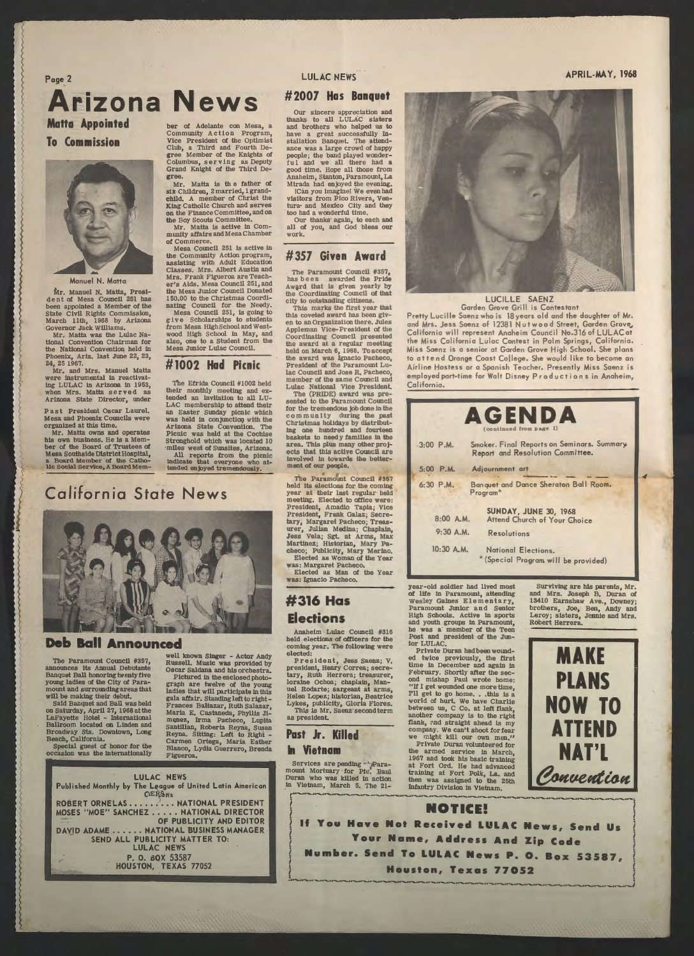# Page 2 **Ar.izona News Matta Appointed**

**To Commission** 



Manuel N. Matta

Mr. Manuel N. Matta, Presi dent of Mesa Council 251 has been appointed a Member of the state Civil Rights Commission, March 11th, 1968 by Arizona Governor Jack Williams.

Past President Oscar Laurel. Mesa and Phoenix Councils were organized at this time.

Mr. Matta owns and operates his own business. He is a Member of the Board of Trustees of Mesa Southside District Hospital, a Board Member of the Catho-<br>lic Social Service, A Board Mem-

Mr. Matta was the Lulac National Convention Chairman for the National Conventioq held in Phoenix, Ariz. last June 22, 23, 24, 25 1967.

Mr. and Mrs. Manuel Matta were instrumental in reactivat ing LULAC in Arizooo in 1953, when Mrs. Matta served as Arizona state Director, under ber of Adelante con Mesa, a Community Action Program, Vice President of the Optimist Club, a Third and Fourth Degree Member of the Knights of Columbus, serving as Deputy Grand Knight of the Third De-

**gree.** 

Mr. Matta is th e father of six Children, 2 married, 1 grandchild. A member of Christ the **King** Catholic Church and serves **on** the· Finance Committee, and on **the** Boy Scouts Committee. Mr. Matta is active in Community affairs and Mesa Chamber

The Paramount Council #357, announces its Annual Debutante Banquet Ball honoring twenty five young ladies of the City of Paramount and surrounding areas that will be making their debut.

**of** Commerce.

well known Singer - Actor Andy Russell. Music was provided by Oscar Saldana and his orchestra

Mesa Council 251 is active in the Community Action program, assisting with Adult Education Classes. Mrs. Albert Austin and Mrs. Frank Figueroa are Teacher's Aids. Mesa Council 251, and the Mesa Junior Council Donated 150.00 to the Christmas Coordinating Council for the Needy. Mesa Council 251, is going to give Scholarships to students from Mesa High School and Westwood High School in May, and also, one to a student from the Mesa Junior Lulac Council.

# **1002 Had Picnic** 

!Can you imagine! we even had visitors from Pico Rivera, Ventura· and Mexico City and they too had a wonderful time.

The Efrida Council #1002 held their monthly meeting and extended an invitation to all LU-LAC membership to attend their an Easter Sunday picnic which was held in conjunction with the Arizona state Convention. The Picnic was held at the Cochise Stronghold which was located 10 ·miles west of Sunsites, Arizona. **All** reports from the picnic indicate that everyone who attended enjoyed tremendously.

# **Deb Ball Announced**

The Paramount Council #357 held its elections for the coming

Said Banquet and Ball was held on Saturday, April 27, 1968atthe LaFayette Hotel - International Ballroom located on Linden and Broadway Sts. Downtown, Long Beach, California.

Special guest of honor for the occasion was the internationally

Pictured in the enclosed photograph are twelve of the young ladies that will participate in this gala affair. Standing left to right - Frances Baltazar, Ruth Salazar, Maria E, Castaneda, Phyllis Jimenez, Irma Pacheco, Lupita Santillan, Roberta Reyna, Susan Reyna. Sitting: Left to Right - Carmen Ortega, Maria Esther Blanco, Lydia Guerrero, Brenda Figueroa.

Services are pending ~ Paramount Mortuary for Pic. Paul Duran 'who was killed in action \_in Vietnam, March 5. The 21-

**LULAC NEWS**  Published Monthly by The League of United Latin American  $CER8ns$ **ROBERT ORNELAS ..** . ; ..... **NATIONAL PRESIDENT MOSES "MOE" SANCHEZ ..** ... **NATIONAL DIRECTOR OF PUBLICITY AND EDITOR DAVID ADAME** ...... **NATIONAL BUSINESS MANAGER SEND ALL PUBLICITY MATTER** TO: **LULAC NEWS P. 0. BOX** 53587 **HOUSTON, TEXAS** 77052

#### LULAC NEWS

## **#2007 Has Banquet**

Private Duran had been wounded twice previously, the first time in December and again in February. Shortly after the second mishap Paul wrote home: "If I get wounded one more time, I'll get to go home. . .this is a world of hurt. We have Charlie between us, C Co, at left flank, another company is to the right flank, and straight ahead is my

Our sincere appreciation and thanks to all LULAC **sisters**  and brothers who helped us **to**  have a great successfully Installation Banquet. The attendance was a large crowd of happy people; the band played wonderful and we all there had a good time. Hope all those from Anaheim, Stanton; Paramount, La Mirada had enjoyed the evening.

**California Stafe News**  year at their last regular held meeting. Elected to office were: President, Amadio Tapia; Vice President, Frank Galaz; Secretary, Margaret Pacheco; Treasurer, Julian Medina; Chaplain, Jess Vela; Sgt. at Arms, Max Martinez; Historian, Mary Pacheco; Publicity, Mary Merino.

· Our thanks· again, to each and all of you, and God bless our work.

### # **357 Given Award**

The Paramount Council #357, has been awarded the Pride Award that is given yearly by the Coordinating Council of **that**  city to outstanding citizens.

This marks the first year that this coveted award has been given to an Organization there. Jules Appleman Vice-President of the Coordinating Council presented the award at a regular meeting held on March 6, 1968. To accept the award was Ignacio Pacheco, President of the Paramount Lulac Council and Jose R. Pacheco, member of the same Council and Lulac National Vice President.

The (PRIDE) award was presented to the Paramount Council for the tremendous job done in the community during the past Christmas holidays by distributing one hundred and fourteen baskets to needy families in the area. This plus many other projinvolved in towards the betterment of our people.

Elected as Woman of the Year was: Margaret Pacheco, Elected as Man of the Year was: Ignacio Pacheco.

# **#316 Has Elections**

Anaheim Lulac Council #316 held elections of officers for the coming year. The following were elected:

President, Jess Saenz; V. president, Henry Correa; secre tary, Ruth Herrera; treasure loraine Ochoa; chaplain, Manuel Rodarte; sargeant at arms Helen Lopez; historian, Beatrice Lykes, publicity, Gloria Flores. This is Mr. Saenz·second term

as president.

**Past Jr. Killed In Vietnam** 

**APRIL-MAY, 1968** 

#### LUCILLE **SAENZ**  Garden Grove Grill is Contestant

Pretty Lucille Saenz who is 18years old and the daughter of Mr. and Mrs. Jess Saenz of 12381 Nutwood Street, Garden Grove, California will represent Anaheim Council No.316 of LULAC at the Miss California Lulac Contest in Palm Springs, California. Miss Saenz is a senior at Garden Grove High School. She plans to attend Orange Coast College. She would like to become an Airline Hostess or a Spanish Teacher. Presently Miss Saenz is employed part-time for Walt Disney Productions in Anaheim, Californio.

|                                                                    | <b>AGENDA</b><br>(continued from page 1)                                       |  |  |
|--------------------------------------------------------------------|--------------------------------------------------------------------------------|--|--|
| $3:00$ P.M.                                                        | Smoker. Final Reports on Seminars. Summary<br>Report and Resolution Committee. |  |  |
| $5:00$ P.M.                                                        | Adjournment art                                                                |  |  |
| Banquet and Dance Sheraton Ball Room.<br>$6:30$ P.M.<br>$Program*$ |                                                                                |  |  |
| 8:00 A.M.                                                          | <b>SUNDAY, JUNE 30, 1968</b><br><b>Attend Church of Your Choice</b>            |  |  |
| $9:30$ A.M.                                                        | <b>Resolutions</b>                                                             |  |  |
| $10:30$ A.M.                                                       | National Elections.<br>* (Special Program will be provided)                    |  |  |

year-old soldier had lived most **of** life in Paramount, attending Wesley Gaines Elementary, Paramount Junior and Senior High Schools. Active in sports and youth groups in Paramount, he was a· member of the Teen Post and president of the Junior LULAC.

company. We can't shoot for fear we might kill our own men." Private Duran volunteered for the armed service in March, 1967 and took his basic training at Fort Ord. He had advanced training at Fort Polk, La. and then was assigned to the 25th Infantry Division in Vietnam.

 $\blacksquare$   $\blacksquare$   $\blacksquare$   $\blacksquare$ **If You Have Not Received LULAC News, Send Us** l l t **Your Name, Address And Zip Code** l l **Number. Send To LULAC News P. O. Box 53587,** l **Houston, Texas 77052** 

Surviving are his parents, Mr. and Mrs. Joseph B. Duran of 13410 Earnshaw Ave., Downey; brothers, Joe, Ben, Andy and Leroy; sisters, Jennie and Mrs. Robert Herrera.



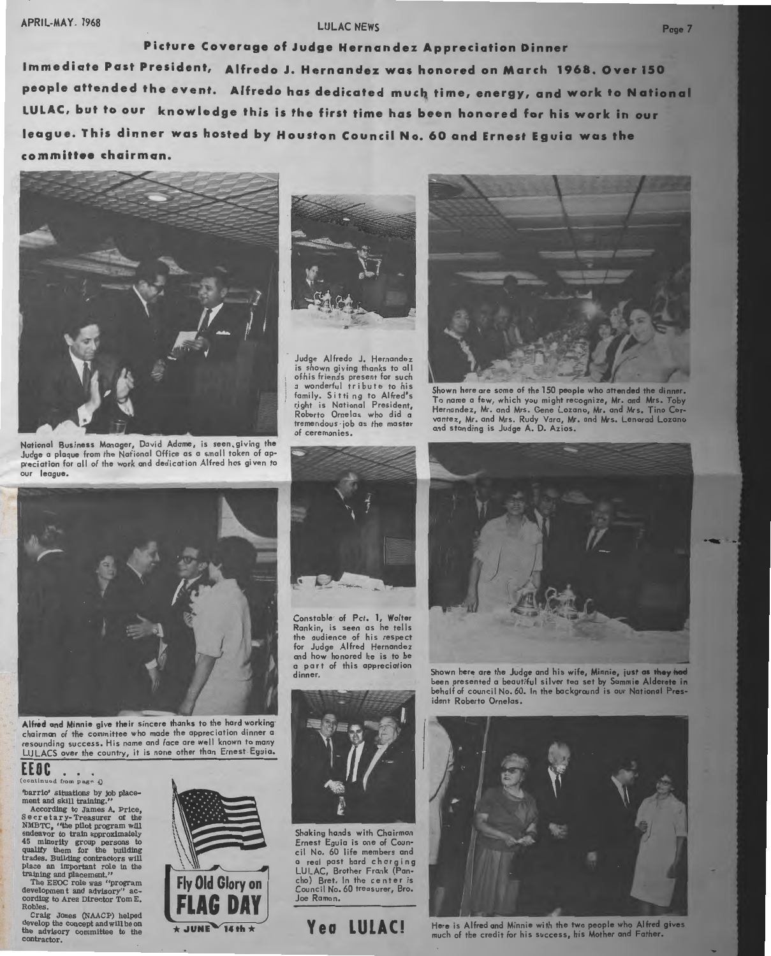# APRIL-MAY. 1968 LULAC NEWS **Page 7**

**Picture Coverage of Judge Hernandez Appreciation Dinner Immediate Past President, Alfredo J. Hernandez was honored on March 1968. Over 150 people attended the event. Alfredo has dedicated much time, energy, and work to National LULAC, but to our knowledge this is the first time has been honored for his work in our league. This dinner was hosted by Houston Council No. 60 and Ernest Eguia was the committee chairman.** 



National Business Manager, David Adame, is seen.giving the Judge a plaque from the National Office as a small token of ap• preciation for all of the work and dedication Alfred has given to our league.



Judge Alfredo J. Hernande is shown giving thanks to all of.his friends present for such a wonderful tribute to his family. Sitting to Alfred's right is National President, Roberto Ornelas who did a tremendous· job as the **master**  of **ceremonies.** 



Shown here are some of the 150 people who **attended the dinner.**  To name a few, which you might recognize, Mr. and Mrs. Toby Hernandez, Mr. and Mrs. Gene Lozano, Mr. and Mrs. Tino Cervantez, Mr. and Mrs. Rudy Vara, Mr. and Mrs. Lenorad **Lozano**  and standing is Judge A. D. Azios.



chairman of the committee who made the appreciation dinner a resounding success. His name and face are well known to ma\_ny LULACS over the country, it is none other than Ernest Eguia.

**EEOC**   $(continued from page 4)$ 

'barrio' situations by job placement and skill training.' According to James A. Price,

Secretary-Treasurer of the NMBTC, "the pilot program will endeavor to train approximately 45 minority group persons to qualify them for the building trades. Building contractors will place an important role in the training and placement."

The EEOC role was "program developrnen **t** and advisory" according to Area Director Tom E. Robles.

Craig Jones (NAACP) helped develop the concept and will be on the advisory committee to the **contractor** 





Constable of Pct. 1, Walter Rankin, is seen as he tells the audience of his respect for Judge Alfred Hernandez and how honored he is to be a part of this appreciation dinner.



Shaking hands with Chairman Ernest Eguia is one of Coun• cil No. 60 life members and a real past hard charging LULAC, Brother Frank (Pan• cho) Bret. In the center is Council No. 60 treasurer, Bro. Joe Ramon,

**Yea LULAC!** 



Shown here are the Judge and his wife, Minnie, just as they had been presented a beautiful silver tea set by Sammie Alderete in behalf of council No. 60. In the background is our National President Roberto Ornelas.



Here is Alfred and Minnie with the two people who Alfred **gives**  much of the credit for his success, his Mother and Fathe